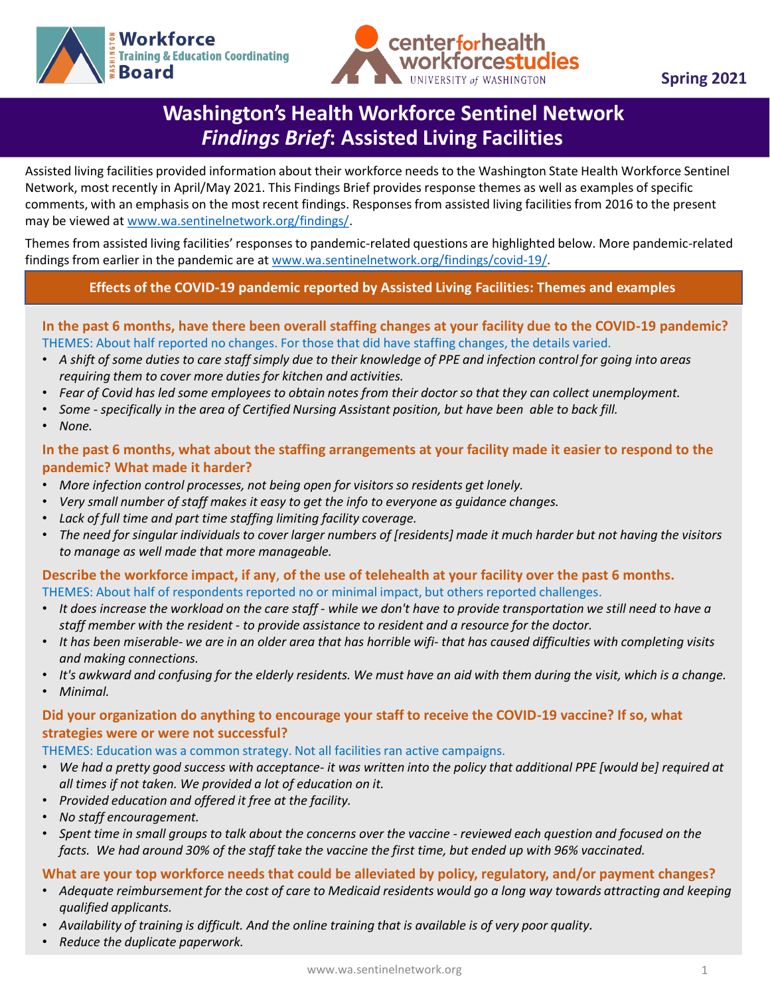



# **Washington's Health Workforce Sentinel Network**  *Findings Brief***: Assisted Living Facilities**

Assisted living facilities provided information about their workforce needs to the Washington State Health Workforce Sentinel Network, most recently in April/May 2021. This Findings Brief provides response themes as well as examples of specific comments, with an emphasis on the most recent findings. Responses from assisted living facilities from 2016 to the present may be viewed at [www.wa.sentinelnetwork.org/findings/.](http://www.wa.sentinelnetwork.org/findings/)

Themes from assisted living facilities' responses to pandemic-related questions are highlighted below. More pandemic-related findings from earlier in the pandemic are at [www.wa.sentinelnetwork.org/findings/covid-19/](https://wa.sentinelnetwork.org/findings/covid-19/).

## **Effects of the COVID-19 pandemic reported by Assisted Living Facilities: Themes and examples**

### **In the past 6 months, have there been overall staffing changes at your facility due to the COVID-19 pandemic?**  THEMES: About half reported no changes. For those that did have staffing changes, the details varied.

- *A shift of some duties to care staff simply due to their knowledge of PPE and infection control for going into areas requiring them to cover more duties for kitchen and activities.*
- *Fear of Covid has led some employees to obtain notes from their doctor so that they can collect unemployment.*
- *Some - specifically in the area of Certified Nursing Assistant position, but have been able to back fill.*
- *None.*

### **In the past 6 months, what about the staffing arrangements at your facility made it easier to respond to the pandemic? What made it harder?**

- *More infection control processes, not being open for visitors so residents get lonely.*
- *Very small number of staff makes it easy to get the info to everyone as guidance changes.*
- *Lack of full time and part time staffing limiting facility coverage.*
- *The need for singular individuals to cover larger numbers of [residents] made it much harder but not having the visitors to manage as well made that more manageable.*

#### **Describe the workforce impact, if any**, **of the use of telehealth at your facility over the past 6 months.** THEMES: About half of respondents reported no or minimal impact, but others reported challenges.

- *It does increase the workload on the care staff - while we don't have to provide transportation we still need to have a staff member with the resident - to provide assistance to resident and a resource for the doctor.*
- *It has been miserable- we are in an older area that has horrible wifi- that has caused difficulties with completing visits and making connections.*
- *It's awkward and confusing for the elderly residents. We must have an aid with them during the visit, which is a change.*
- *Minimal.*

## **Did your organization do anything to encourage your staff to receive the COVID-19 vaccine? If so, what strategies were or were not successful?**

#### THEMES: Education was a common strategy. Not all facilities ran active campaigns.

- *We had a pretty good success with acceptance- it was written into the policy that additional PPE [would be] required at all times if not taken. We provided a lot of education on it.*
- *Provided education and offered it free at the facility.*
- *No staff encouragement.*
- *Spent time in small groups to talk about the concerns over the vaccine - reviewed each question and focused on the facts. We had around 30% of the staff take the vaccine the first time, but ended up with 96% vaccinated.*

#### **What are your top workforce needs that could be alleviated by policy, regulatory, and/or payment changes?**

- *Adequate reimbursement for the cost of care to Medicaid residents would go a long way towards attracting and keeping qualified applicants.*
- *Availability of training is difficult. And the online training that is available is of very poor quality.*
- *Reduce the duplicate paperwork.*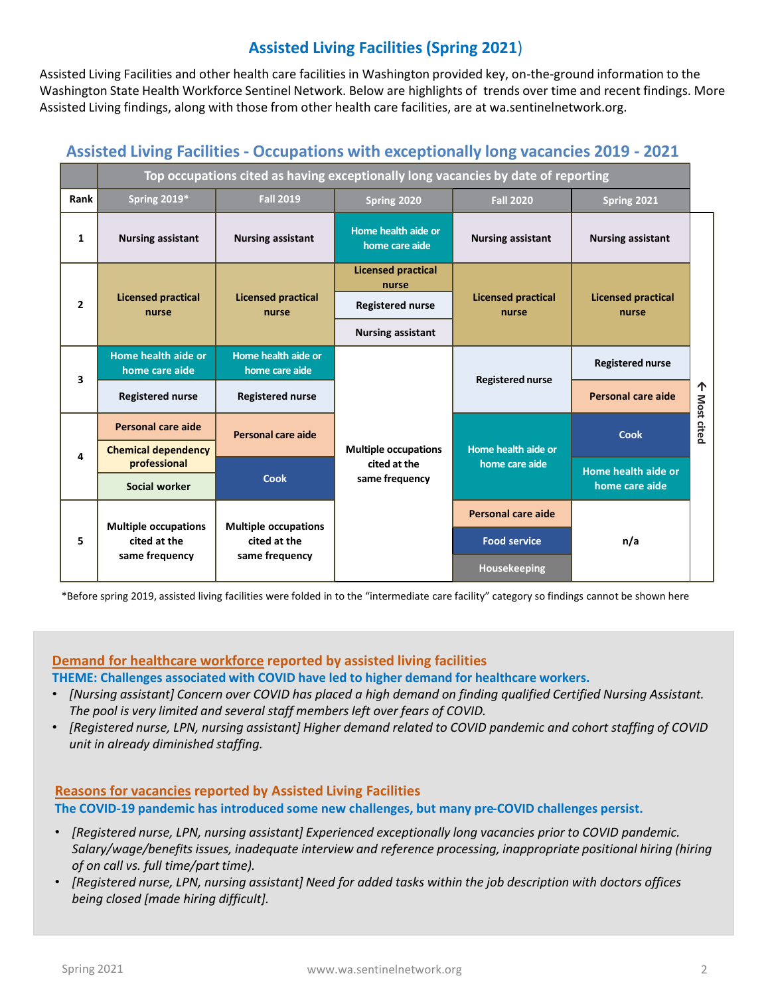# **Assisted Living Facilities (Spring 2021**)

Assisted Living Facilities and other health care facilities in Washington provided key, on-the-ground information to the Washington State Health Workforce Sentinel Network. Below are highlights of trends over time and recent findings. More Assisted Living findings, along with those from other health care facilities, are at wa.sentinelnetwork.org.

## **Assisted Living Facilities - Occupations with exceptionally long vacancies 2019 - 2021**

|                | Top occupations cited as having exceptionally long vacancies by date of reporting |                                                               |                                                               |                                       |                                       |                 |
|----------------|-----------------------------------------------------------------------------------|---------------------------------------------------------------|---------------------------------------------------------------|---------------------------------------|---------------------------------------|-----------------|
| Rank           | <b>Spring 2019*</b>                                                               | <b>Fall 2019</b>                                              | Spring 2020                                                   | <b>Fall 2020</b>                      | Spring 2021                           |                 |
| 1              | <b>Nursing assistant</b>                                                          | <b>Nursing assistant</b>                                      | Home health aide or<br>home care aide                         | <b>Nursing assistant</b>              | <b>Nursing assistant</b>              |                 |
| $\overline{2}$ | <b>Licensed practical</b><br>nurse                                                | <b>Licensed practical</b><br>nurse                            | <b>Licensed practical</b><br>nurse                            | <b>Licensed practical</b><br>nurse    | <b>Licensed practical</b><br>nurse    | 个<br>Most cited |
|                |                                                                                   |                                                               | <b>Registered nurse</b>                                       |                                       |                                       |                 |
|                |                                                                                   |                                                               | <b>Nursing assistant</b>                                      |                                       |                                       |                 |
| 3              | Home health aide or<br>home care aide                                             | Home health aide or<br>home care aide                         | <b>Multiple occupations</b><br>cited at the<br>same frequency | <b>Registered nurse</b>               | <b>Registered nurse</b>               |                 |
|                | <b>Registered nurse</b>                                                           | <b>Registered nurse</b>                                       |                                                               |                                       | Personal care aide                    |                 |
| 4              | Personal care aide                                                                | Personal care aide                                            |                                                               | Home health aide or<br>home care aide | <b>Cook</b>                           |                 |
|                | <b>Chemical dependency</b><br>professional                                        | <b>Cook</b>                                                   |                                                               |                                       |                                       |                 |
|                | Social worker                                                                     |                                                               |                                                               |                                       | Home health aide or<br>home care aide |                 |
| 5              | <b>Multiple occupations</b><br>cited at the<br>same frequency                     | <b>Multiple occupations</b><br>cited at the<br>same frequency |                                                               | <b>Personal care aide</b>             | n/a                                   |                 |
|                |                                                                                   |                                                               |                                                               | <b>Food service</b>                   |                                       |                 |
|                |                                                                                   |                                                               |                                                               | Housekeeping                          |                                       |                 |

\*Before spring 2019, assisted living facilities were folded in to the "intermediate care facility" category so findings cannot be shown here

# **Demand for healthcare workforce reported by assisted living facilities**

- **THEME: Challenges associated with COVID have led to higher demand for healthcare workers.** • *[Nursing assistant] Concern over COVID has placed a high demand on finding qualified Certified Nursing Assistant.*
- *The pool is very limited and several staff members left over fears of COVID.*
- *[Registered nurse, LPN, nursing assistant] Higher demand related to COVID pandemic and cohort staffing of COVID unit in already diminished staffing.*

### **Reasons for vacancies reported by Assisted Living Facilities The COVID-19 pandemic has introduced some new challenges, but many pre-COVID challenges persist.**

- *[Registered nurse, LPN, nursing assistant] Experienced exceptionally long vacancies prior to COVID pandemic. Salary/wage/benefits issues, inadequate interview and reference processing, inappropriate positional hiring (hiring of on call vs. full time/part time).*
- *[Registered nurse, LPN, nursing assistant] Need for added tasks within the job description with doctors offices being closed [made hiring difficult].*